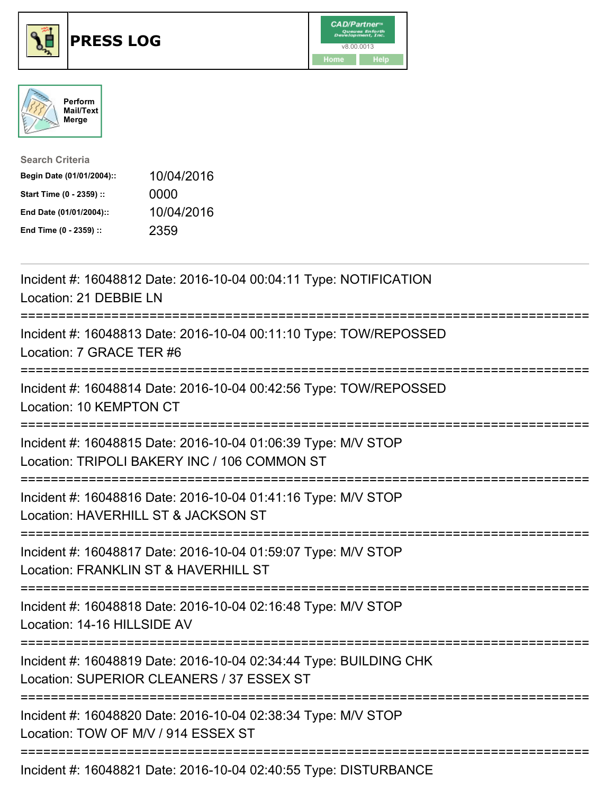





| <b>Search Criteria</b>    |            |
|---------------------------|------------|
| Begin Date (01/01/2004):: | 10/04/2016 |
| Start Time (0 - 2359) ::  | 0000       |
| End Date (01/01/2004)::   | 10/04/2016 |
| End Time (0 - 2359) ::    | 2359       |

| Incident #: 16048812 Date: 2016-10-04 00:04:11 Type: NOTIFICATION<br>Location: 21 DEBBIE LN                                                    |
|------------------------------------------------------------------------------------------------------------------------------------------------|
| Incident #: 16048813 Date: 2016-10-04 00:11:10 Type: TOW/REPOSSED<br>Location: 7 GRACE TER #6                                                  |
| Incident #: 16048814 Date: 2016-10-04 00:42:56 Type: TOW/REPOSSED<br>Location: 10 KEMPTON CT                                                   |
| Incident #: 16048815 Date: 2016-10-04 01:06:39 Type: M/V STOP<br>Location: TRIPOLI BAKERY INC / 106 COMMON ST<br>============================= |
| Incident #: 16048816 Date: 2016-10-04 01:41:16 Type: M/V STOP<br>Location: HAVERHILL ST & JACKSON ST                                           |
| Incident #: 16048817 Date: 2016-10-04 01:59:07 Type: M/V STOP<br>Location: FRANKLIN ST & HAVERHILL ST                                          |
| Incident #: 16048818 Date: 2016-10-04 02:16:48 Type: M/V STOP<br>Location: 14-16 HILLSIDE AV<br>===================================            |
| Incident #: 16048819 Date: 2016-10-04 02:34:44 Type: BUILDING CHK<br>Location: SUPERIOR CLEANERS / 37 ESSEX ST                                 |
| Incident #: 16048820 Date: 2016-10-04 02:38:34 Type: M/V STOP<br>Location: TOW OF M/V / 914 ESSEX ST                                           |
|                                                                                                                                                |

Incident #: 16048821 Date: 2016-10-04 02:40:55 Type: DISTURBANCE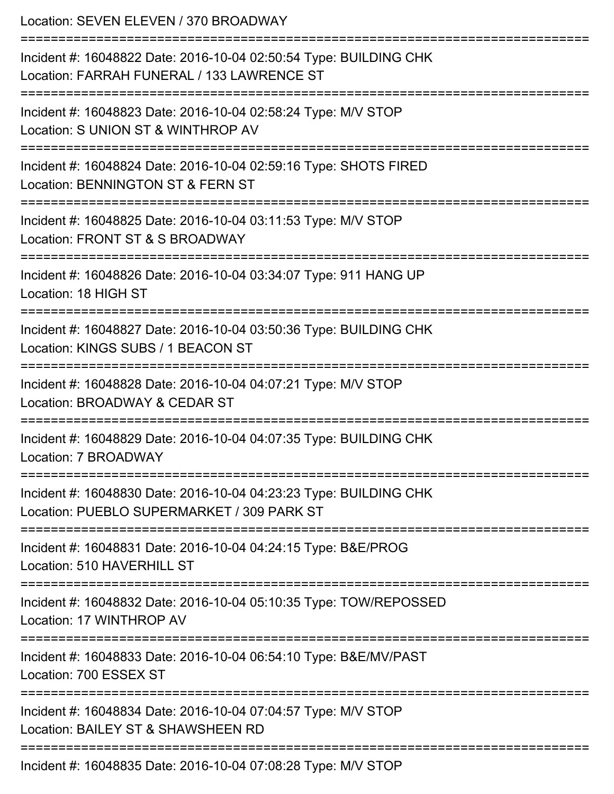Location: SEVEN ELEVEN / 370 BROADWAY =========================================================================== Incident #: 16048822 Date: 2016-10-04 02:50:54 Type: BUILDING CHK Location: FARRAH FUNERAL / 133 LAWRENCE ST =========================================================================== Incident #: 16048823 Date: 2016-10-04 02:58:24 Type: M/V STOP Location: S UNION ST & WINTHROP AV =========================================================================== Incident #: 16048824 Date: 2016-10-04 02:59:16 Type: SHOTS FIRED Location: BENNINGTON ST & FERN ST =========================================================================== Incident #: 16048825 Date: 2016-10-04 03:11:53 Type: M/V STOP Location: FRONT ST & S BROADWAY =========================================================================== Incident #: 16048826 Date: 2016-10-04 03:34:07 Type: 911 HANG UP Location: 18 HIGH ST =========================================================================== Incident #: 16048827 Date: 2016-10-04 03:50:36 Type: BUILDING CHK Location: KINGS SUBS / 1 BEACON ST =========================================================================== Incident #: 16048828 Date: 2016-10-04 04:07:21 Type: M/V STOP Location: BROADWAY & CEDAR ST =========================================================================== Incident #: 16048829 Date: 2016-10-04 04:07:35 Type: BUILDING CHK Location: 7 BROADWAY =========================================================================== Incident #: 16048830 Date: 2016-10-04 04:23:23 Type: BUILDING CHK Location: PUEBLO SUPERMARKET / 309 PARK ST =========================================================================== Incident #: 16048831 Date: 2016-10-04 04:24:15 Type: B&E/PROG Location: 510 HAVERHILL ST =========================================================================== Incident #: 16048832 Date: 2016-10-04 05:10:35 Type: TOW/REPOSSED Location: 17 WINTHROP AV =========================================================================== Incident #: 16048833 Date: 2016-10-04 06:54:10 Type: B&E/MV/PAST Location: 700 ESSEX ST =========================================================================== Incident #: 16048834 Date: 2016-10-04 07:04:57 Type: M/V STOP Location: BAILEY ST & SHAWSHEEN RD =========================================================================== Incident #: 16048835 Date: 2016-10-04 07:08:28 Type: M/V STOP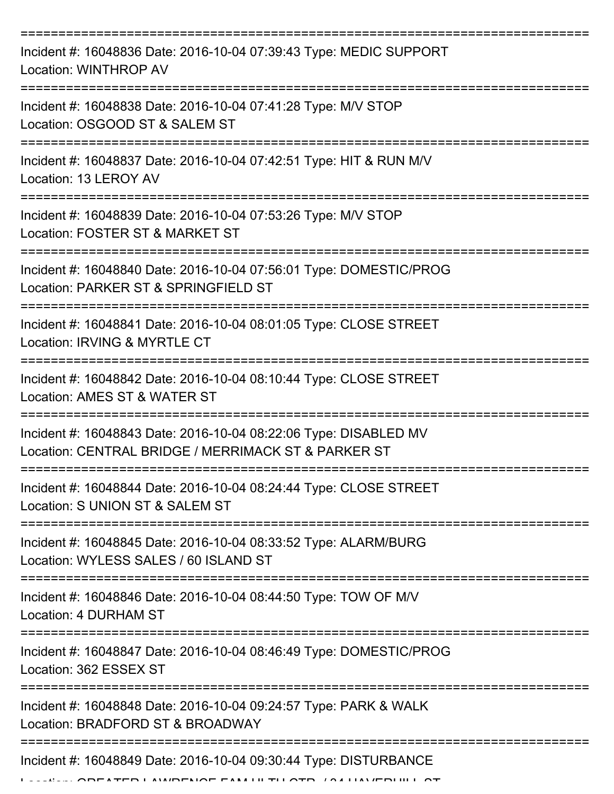| Incident #: 16048836 Date: 2016-10-04 07:39:43 Type: MEDIC SUPPORT<br>Location: WINTHROP AV                               |
|---------------------------------------------------------------------------------------------------------------------------|
| Incident #: 16048838 Date: 2016-10-04 07:41:28 Type: M/V STOP<br>Location: OSGOOD ST & SALEM ST                           |
| Incident #: 16048837 Date: 2016-10-04 07:42:51 Type: HIT & RUN M/V<br>Location: 13 LEROY AV                               |
| Incident #: 16048839 Date: 2016-10-04 07:53:26 Type: M/V STOP<br>Location: FOSTER ST & MARKET ST                          |
| Incident #: 16048840 Date: 2016-10-04 07:56:01 Type: DOMESTIC/PROG<br>Location: PARKER ST & SPRINGFIELD ST                |
| :===================<br>Incident #: 16048841 Date: 2016-10-04 08:01:05 Type: CLOSE STREET<br>Location: IRVING & MYRTLE CT |
| Incident #: 16048842 Date: 2016-10-04 08:10:44 Type: CLOSE STREET<br>Location: AMES ST & WATER ST                         |
| Incident #: 16048843 Date: 2016-10-04 08:22:06 Type: DISABLED MV<br>Location: CENTRAL BRIDGE / MERRIMACK ST & PARKER ST   |
| Incident #: 16048844 Date: 2016-10-04 08:24:44 Type: CLOSE STREET<br>Location: S UNION ST & SALEM ST                      |
| Incident #: 16048845 Date: 2016-10-04 08:33:52 Type: ALARM/BURG<br>Location: WYLESS SALES / 60 ISLAND ST                  |
| Incident #: 16048846 Date: 2016-10-04 08:44:50 Type: TOW OF M/V<br>Location: 4 DURHAM ST                                  |
| Incident #: 16048847 Date: 2016-10-04 08:46:49 Type: DOMESTIC/PROG<br>Location: 362 ESSEX ST                              |
| Incident #: 16048848 Date: 2016-10-04 09:24:57 Type: PARK & WALK<br>Location: BRADFORD ST & BROADWAY                      |
| Incident #: 16048849 Date: 2016-10-04 09:30:44 Type: DISTURBANCE<br>TED LAWDENAE FAMILITH ATD TALIM FOURLE AT             |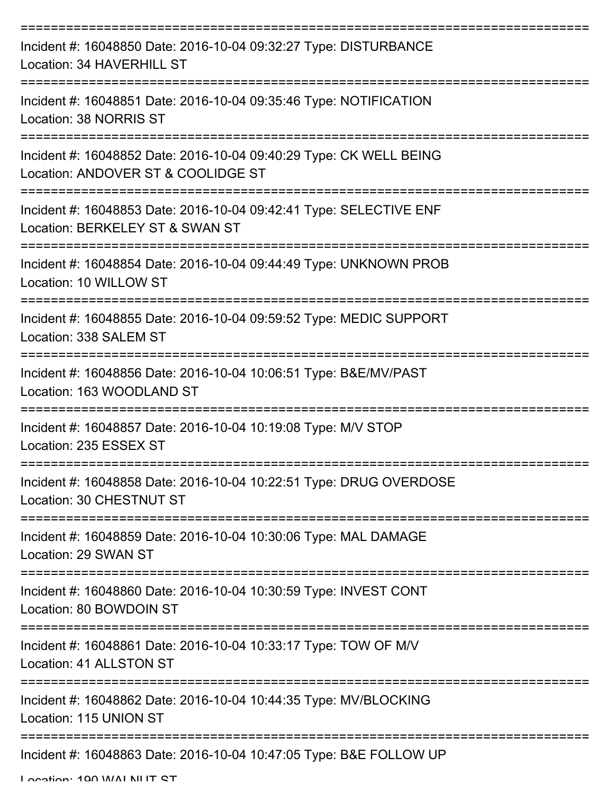| Incident #: 16048850 Date: 2016-10-04 09:32:27 Type: DISTURBANCE<br>Location: 34 HAVERHILL ST            |
|----------------------------------------------------------------------------------------------------------|
| Incident #: 16048851 Date: 2016-10-04 09:35:46 Type: NOTIFICATION<br>Location: 38 NORRIS ST              |
| Incident #: 16048852 Date: 2016-10-04 09:40:29 Type: CK WELL BEING<br>Location: ANDOVER ST & COOLIDGE ST |
| Incident #: 16048853 Date: 2016-10-04 09:42:41 Type: SELECTIVE ENF<br>Location: BERKELEY ST & SWAN ST    |
| Incident #: 16048854 Date: 2016-10-04 09:44:49 Type: UNKNOWN PROB<br>Location: 10 WILLOW ST              |
| Incident #: 16048855 Date: 2016-10-04 09:59:52 Type: MEDIC SUPPORT<br>Location: 338 SALEM ST             |
| Incident #: 16048856 Date: 2016-10-04 10:06:51 Type: B&E/MV/PAST<br>Location: 163 WOODLAND ST            |
| Incident #: 16048857 Date: 2016-10-04 10:19:08 Type: M/V STOP<br>Location: 235 ESSEX ST                  |
| Incident #: 16048858 Date: 2016-10-04 10:22:51 Type: DRUG OVERDOSE<br>Location: 30 CHESTNUT ST           |
| Incident #: 16048859 Date: 2016-10-04 10:30:06 Type: MAL DAMAGE<br>Location: 29 SWAN ST                  |
| Incident #: 16048860 Date: 2016-10-04 10:30:59 Type: INVEST CONT<br>Location: 80 BOWDOIN ST              |
| Incident #: 16048861 Date: 2016-10-04 10:33:17 Type: TOW OF M/V<br>Location: 41 ALLSTON ST               |
| Incident #: 16048862 Date: 2016-10-04 10:44:35 Type: MV/BLOCKING<br>Location: 115 UNION ST               |
| Incident #: 16048863 Date: 2016-10-04 10:47:05 Type: B&E FOLLOW UP                                       |

Location: 100 WALNUT CT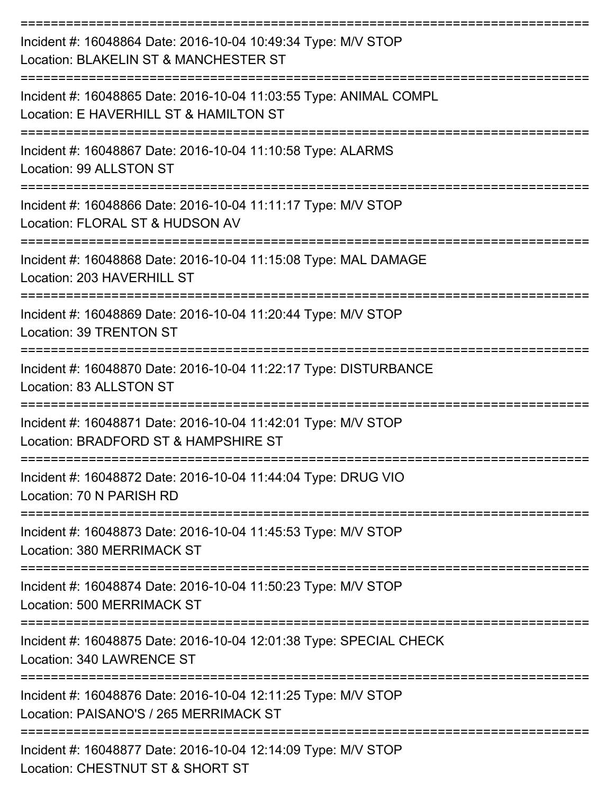| Incident #: 16048864 Date: 2016-10-04 10:49:34 Type: M/V STOP<br>Location: BLAKELIN ST & MANCHESTER ST      |
|-------------------------------------------------------------------------------------------------------------|
| Incident #: 16048865 Date: 2016-10-04 11:03:55 Type: ANIMAL COMPL<br>Location: E HAVERHILL ST & HAMILTON ST |
| Incident #: 16048867 Date: 2016-10-04 11:10:58 Type: ALARMS<br>Location: 99 ALLSTON ST                      |
| Incident #: 16048866 Date: 2016-10-04 11:11:17 Type: M/V STOP<br>Location: FLORAL ST & HUDSON AV            |
| Incident #: 16048868 Date: 2016-10-04 11:15:08 Type: MAL DAMAGE<br>Location: 203 HAVERHILL ST               |
| Incident #: 16048869 Date: 2016-10-04 11:20:44 Type: M/V STOP<br>Location: 39 TRENTON ST                    |
| Incident #: 16048870 Date: 2016-10-04 11:22:17 Type: DISTURBANCE<br>Location: 83 ALLSTON ST                 |
| Incident #: 16048871 Date: 2016-10-04 11:42:01 Type: M/V STOP<br>Location: BRADFORD ST & HAMPSHIRE ST       |
| Incident #: 16048872 Date: 2016-10-04 11:44:04 Type: DRUG VIO<br>Location: 70 N PARISH RD                   |
| Incident #: 16048873 Date: 2016-10-04 11:45:53 Type: M/V STOP<br>Location: 380 MERRIMACK ST                 |
| Incident #: 16048874 Date: 2016-10-04 11:50:23 Type: M/V STOP<br>Location: 500 MERRIMACK ST                 |
| Incident #: 16048875 Date: 2016-10-04 12:01:38 Type: SPECIAL CHECK<br>Location: 340 LAWRENCE ST             |
| Incident #: 16048876 Date: 2016-10-04 12:11:25 Type: M/V STOP<br>Location: PAISANO'S / 265 MERRIMACK ST     |
| Incident #: 16048877 Date: 2016-10-04 12:14:09 Type: M/V STOP<br>Location: CHESTNUT ST & SHORT ST           |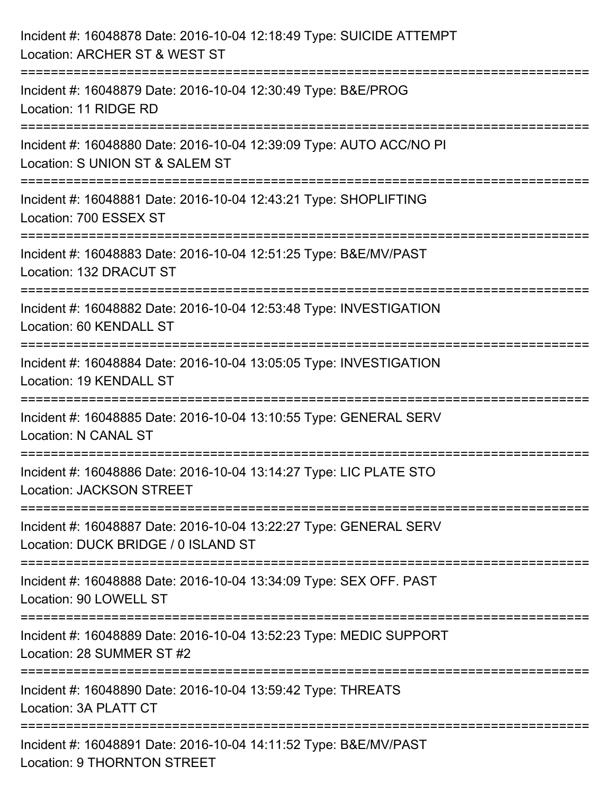| Incident #: 16048878 Date: 2016-10-04 12:18:49 Type: SUICIDE ATTEMPT<br>Location: ARCHER ST & WEST ST                                            |
|--------------------------------------------------------------------------------------------------------------------------------------------------|
| Incident #: 16048879 Date: 2016-10-04 12:30:49 Type: B&E/PROG<br>Location: 11 RIDGE RD                                                           |
| Incident #: 16048880 Date: 2016-10-04 12:39:09 Type: AUTO ACC/NO PI<br>Location: S UNION ST & SALEM ST<br>;===================================== |
| Incident #: 16048881 Date: 2016-10-04 12:43:21 Type: SHOPLIFTING<br>Location: 700 ESSEX ST                                                       |
| Incident #: 16048883 Date: 2016-10-04 12:51:25 Type: B&E/MV/PAST<br>Location: 132 DRACUT ST                                                      |
| Incident #: 16048882 Date: 2016-10-04 12:53:48 Type: INVESTIGATION<br>Location: 60 KENDALL ST                                                    |
| Incident #: 16048884 Date: 2016-10-04 13:05:05 Type: INVESTIGATION<br>Location: 19 KENDALL ST                                                    |
| Incident #: 16048885 Date: 2016-10-04 13:10:55 Type: GENERAL SERV<br><b>Location: N CANAL ST</b>                                                 |
| Incident #: 16048886 Date: 2016-10-04 13:14:27 Type: LIC PLATE STO<br><b>Location: JACKSON STREET</b>                                            |
| Incident #: 16048887 Date: 2016-10-04 13:22:27 Type: GENERAL SERV<br>Location: DUCK BRIDGE / 0 ISLAND ST                                         |
| Incident #: 16048888 Date: 2016-10-04 13:34:09 Type: SEX OFF. PAST<br>Location: 90 LOWELL ST                                                     |
| Incident #: 16048889 Date: 2016-10-04 13:52:23 Type: MEDIC SUPPORT<br>Location: 28 SUMMER ST #2                                                  |
| Incident #: 16048890 Date: 2016-10-04 13:59:42 Type: THREATS<br>Location: 3A PLATT CT                                                            |
| Incident #: 16048891 Date: 2016-10-04 14:11:52 Type: B&E/MV/PAST<br>Location: 9 THORNTON STREET                                                  |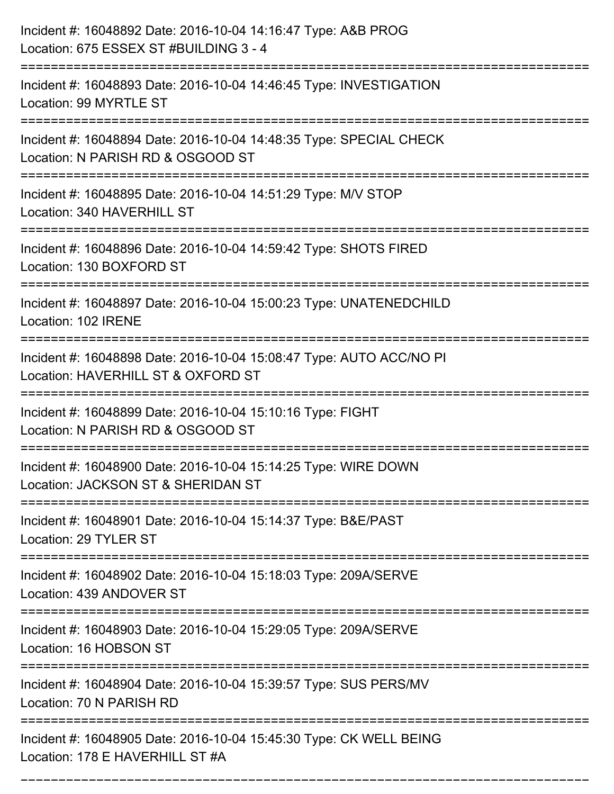| Incident #: 16048892 Date: 2016-10-04 14:16:47 Type: A&B PROG<br>Location: 675 ESSEX ST #BUILDING 3 - 4   |
|-----------------------------------------------------------------------------------------------------------|
| Incident #: 16048893 Date: 2016-10-04 14:46:45 Type: INVESTIGATION<br>Location: 99 MYRTLE ST              |
| Incident #: 16048894 Date: 2016-10-04 14:48:35 Type: SPECIAL CHECK<br>Location: N PARISH RD & OSGOOD ST   |
| Incident #: 16048895 Date: 2016-10-04 14:51:29 Type: M/V STOP<br>Location: 340 HAVERHILL ST               |
| Incident #: 16048896 Date: 2016-10-04 14:59:42 Type: SHOTS FIRED<br>Location: 130 BOXFORD ST              |
| Incident #: 16048897 Date: 2016-10-04 15:00:23 Type: UNATENEDCHILD<br>Location: 102 IRENE                 |
| Incident #: 16048898 Date: 2016-10-04 15:08:47 Type: AUTO ACC/NO PI<br>Location: HAVERHILL ST & OXFORD ST |
| Incident #: 16048899 Date: 2016-10-04 15:10:16 Type: FIGHT<br>Location: N PARISH RD & OSGOOD ST           |
| Incident #: 16048900 Date: 2016-10-04 15:14:25 Type: WIRE DOWN<br>Location: JACKSON ST & SHERIDAN ST      |
| Incident #: 16048901 Date: 2016-10-04 15:14:37 Type: B&E/PAST<br>Location: 29 TYLER ST                    |
| Incident #: 16048902 Date: 2016-10-04 15:18:03 Type: 209A/SERVE<br>Location: 439 ANDOVER ST               |
| Incident #: 16048903 Date: 2016-10-04 15:29:05 Type: 209A/SERVE<br>Location: 16 HOBSON ST                 |
| Incident #: 16048904 Date: 2016-10-04 15:39:57 Type: SUS PERS/MV<br>Location: 70 N PARISH RD              |
| Incident #: 16048905 Date: 2016-10-04 15:45:30 Type: CK WELL BEING<br>Location: 178 E HAVERHILL ST #A     |

===========================================================================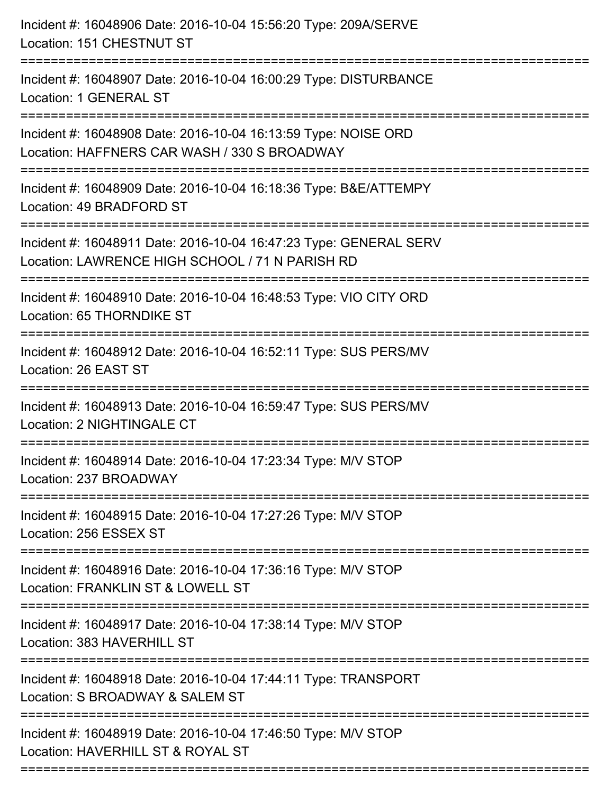| Incident #: 16048906 Date: 2016-10-04 15:56:20 Type: 209A/SERVE<br>Location: 151 CHESTNUT ST                                                              |
|-----------------------------------------------------------------------------------------------------------------------------------------------------------|
| Incident #: 16048907 Date: 2016-10-04 16:00:29 Type: DISTURBANCE<br><b>Location: 1 GENERAL ST</b>                                                         |
| Incident #: 16048908 Date: 2016-10-04 16:13:59 Type: NOISE ORD<br>Location: HAFFNERS CAR WASH / 330 S BROADWAY                                            |
| Incident #: 16048909 Date: 2016-10-04 16:18:36 Type: B&E/ATTEMPY<br>Location: 49 BRADFORD ST                                                              |
| Incident #: 16048911 Date: 2016-10-04 16:47:23 Type: GENERAL SERV<br>Location: LAWRENCE HIGH SCHOOL / 71 N PARISH RD<br>================================= |
| Incident #: 16048910 Date: 2016-10-04 16:48:53 Type: VIO CITY ORD<br>Location: 65 THORNDIKE ST                                                            |
| Incident #: 16048912 Date: 2016-10-04 16:52:11 Type: SUS PERS/MV<br>Location: 26 EAST ST                                                                  |
| Incident #: 16048913 Date: 2016-10-04 16:59:47 Type: SUS PERS/MV<br>Location: 2 NIGHTINGALE CT                                                            |
| Incident #: 16048914 Date: 2016-10-04 17:23:34 Type: M/V STOP<br>Location: 237 BROADWAY                                                                   |
| Incident #: 16048915 Date: 2016-10-04 17:27:26 Type: M/V STOP<br>Location: 256 ESSEX ST                                                                   |
| Incident #: 16048916 Date: 2016-10-04 17:36:16 Type: M/V STOP<br>Location: FRANKLIN ST & LOWELL ST                                                        |
| Incident #: 16048917 Date: 2016-10-04 17:38:14 Type: M/V STOP<br>Location: 383 HAVERHILL ST<br>======================================                     |
| Incident #: 16048918 Date: 2016-10-04 17:44:11 Type: TRANSPORT<br>Location: S BROADWAY & SALEM ST                                                         |
| Incident #: 16048919 Date: 2016-10-04 17:46:50 Type: M/V STOP<br>Location: HAVERHILL ST & ROYAL ST                                                        |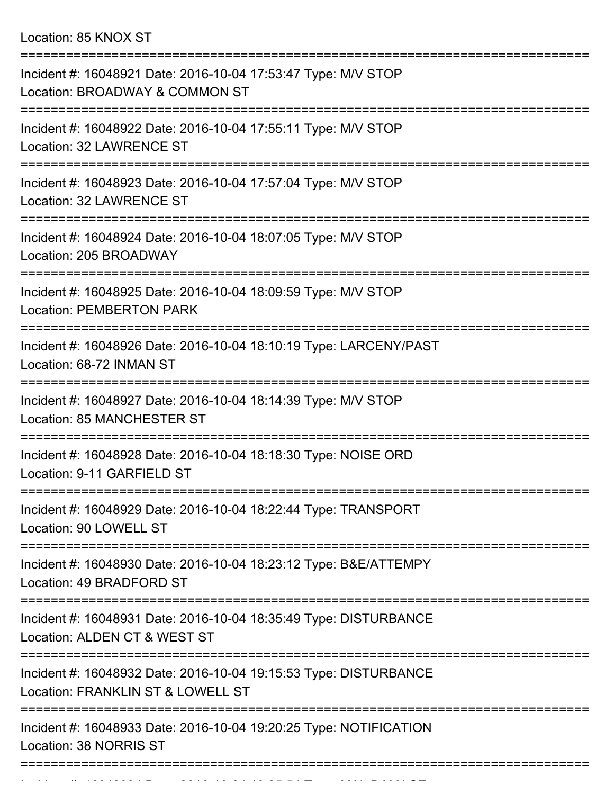Location: 85 KNOX ST

| Incident #: 16048921 Date: 2016-10-04 17:53:47 Type: M/V STOP<br>Location: BROADWAY & COMMON ST       |
|-------------------------------------------------------------------------------------------------------|
| Incident #: 16048922 Date: 2016-10-04 17:55:11 Type: M/V STOP<br>Location: 32 LAWRENCE ST             |
| Incident #: 16048923 Date: 2016-10-04 17:57:04 Type: M/V STOP<br>Location: 32 LAWRENCE ST             |
| Incident #: 16048924 Date: 2016-10-04 18:07:05 Type: M/V STOP<br>Location: 205 BROADWAY               |
| Incident #: 16048925 Date: 2016-10-04 18:09:59 Type: M/V STOP<br><b>Location: PEMBERTON PARK</b>      |
| Incident #: 16048926 Date: 2016-10-04 18:10:19 Type: LARCENY/PAST<br>Location: 68-72 INMAN ST         |
| Incident #: 16048927 Date: 2016-10-04 18:14:39 Type: M/V STOP<br><b>Location: 85 MANCHESTER ST</b>    |
| Incident #: 16048928 Date: 2016-10-04 18:18:30 Type: NOISE ORD<br>Location: 9-11 GARFIELD ST          |
| Incident #: 16048929 Date: 2016-10-04 18:22:44 Type: TRANSPORT<br>Location: 90 LOWELL ST              |
| Incident #: 16048930 Date: 2016-10-04 18:23:12 Type: B&E/ATTEMPY<br>Location: 49 BRADFORD ST          |
| Incident #: 16048931 Date: 2016-10-04 18:35:49 Type: DISTURBANCE<br>Location: ALDEN CT & WEST ST      |
| Incident #: 16048932 Date: 2016-10-04 19:15:53 Type: DISTURBANCE<br>Location: FRANKLIN ST & LOWELL ST |
| Incident #: 16048933 Date: 2016-10-04 19:20:25 Type: NOTIFICATION<br>Location: 38 NORRIS ST           |
|                                                                                                       |

Incident #: 16048934 Date: 2016 10 04 19:25:54 Type: MAL DAMAGE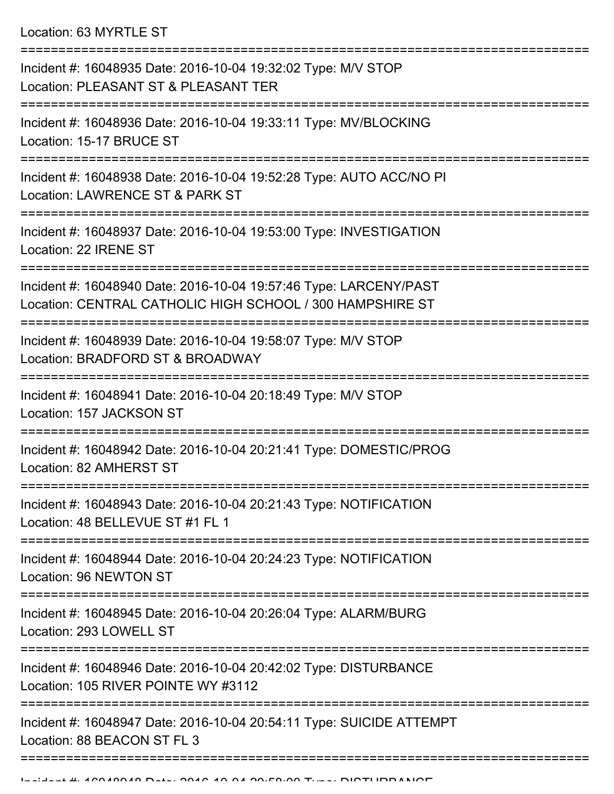Location: 63 MYRTLE ST

| ====================== |                                                                                                                                |
|------------------------|--------------------------------------------------------------------------------------------------------------------------------|
|                        | Incident #: 16048935 Date: 2016-10-04 19:32:02 Type: M/V STOP<br>Location: PLEASANT ST & PLEASANT TER                          |
|                        | Incident #: 16048936 Date: 2016-10-04 19:33:11 Type: MV/BLOCKING<br>Location: 15-17 BRUCE ST                                   |
|                        | Incident #: 16048938 Date: 2016-10-04 19:52:28 Type: AUTO ACC/NO PI<br>Location: LAWRENCE ST & PARK ST                         |
|                        | Incident #: 16048937 Date: 2016-10-04 19:53:00 Type: INVESTIGATION<br>Location: 22 IRENE ST                                    |
|                        | Incident #: 16048940 Date: 2016-10-04 19:57:46 Type: LARCENY/PAST<br>Location: CENTRAL CATHOLIC HIGH SCHOOL / 300 HAMPSHIRE ST |
|                        | Incident #: 16048939 Date: 2016-10-04 19:58:07 Type: M/V STOP<br>Location: BRADFORD ST & BROADWAY                              |
|                        | Incident #: 16048941 Date: 2016-10-04 20:18:49 Type: M/V STOP<br>Location: 157 JACKSON ST                                      |
|                        | Incident #: 16048942 Date: 2016-10-04 20:21:41 Type: DOMESTIC/PROG<br>Location: 82 AMHERST ST                                  |
|                        | Incident #: 16048943 Date: 2016-10-04 20:21:43 Type: NOTIFICATION<br>Location: 48 BELLEVUE ST #1 FL 1                          |
|                        | Incident #: 16048944 Date: 2016-10-04 20:24:23 Type: NOTIFICATION<br>Location: 96 NEWTON ST                                    |
|                        | Incident #: 16048945 Date: 2016-10-04 20:26:04 Type: ALARM/BURG<br>Location: 293 LOWELL ST                                     |
|                        | Incident #: 16048946 Date: 2016-10-04 20:42:02 Type: DISTURBANCE<br>Location: 105 RIVER POINTE WY #3112                        |
|                        | Incident #: 16048947 Date: 2016-10-04 20:54:11 Type: SUICIDE ATTEMPT<br>Location: 88 BEACON ST FL 3                            |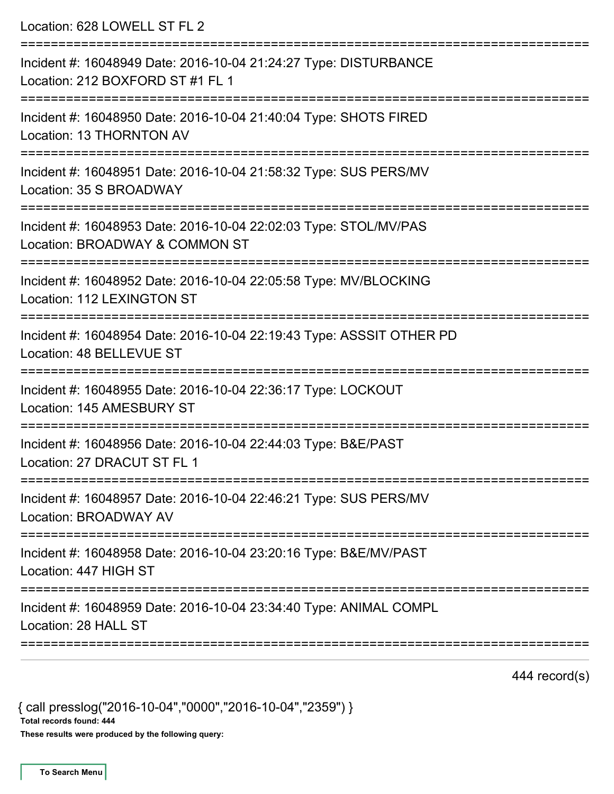| Location: 628 LOWELL ST FL 2                                                                                                  |
|-------------------------------------------------------------------------------------------------------------------------------|
| Incident #: 16048949 Date: 2016-10-04 21:24:27 Type: DISTURBANCE<br>Location: 212 BOXFORD ST #1 FL 1                          |
| Incident #: 16048950 Date: 2016-10-04 21:40:04 Type: SHOTS FIRED<br>Location: 13 THORNTON AV<br>--------------------          |
| Incident #: 16048951 Date: 2016-10-04 21:58:32 Type: SUS PERS/MV<br>Location: 35 S BROADWAY<br>=====================          |
| Incident #: 16048953 Date: 2016-10-04 22:02:03 Type: STOL/MV/PAS<br>Location: BROADWAY & COMMON ST<br>:====================== |
| Incident #: 16048952 Date: 2016-10-04 22:05:58 Type: MV/BLOCKING<br>Location: 112 LEXINGTON ST                                |
| Incident #: 16048954 Date: 2016-10-04 22:19:43 Type: ASSSIT OTHER PD<br>Location: 48 BELLEVUE ST                              |
| Incident #: 16048955 Date: 2016-10-04 22:36:17 Type: LOCKOUT<br>Location: 145 AMESBURY ST                                     |
| Incident #: 16048956 Date: 2016-10-04 22:44:03 Type: B&E/PAST<br>Location: 27 DRACUT ST FL 1                                  |
| Incident #: 16048957 Date: 2016-10-04 22:46:21 Type: SUS PERS/MV<br>Location: BROADWAY AV                                     |
| Incident #: 16048958 Date: 2016-10-04 23:20:16 Type: B&E/MV/PAST<br>Location: 447 HIGH ST                                     |
| Incident #: 16048959 Date: 2016-10-04 23:34:40 Type: ANIMAL COMPL<br>Location: 28 HALL ST                                     |
|                                                                                                                               |

444 record(s)

{ call presslog("2016-10-04","0000","2016-10-04","2359") } Total records found: 444 These results were produced by the following query: